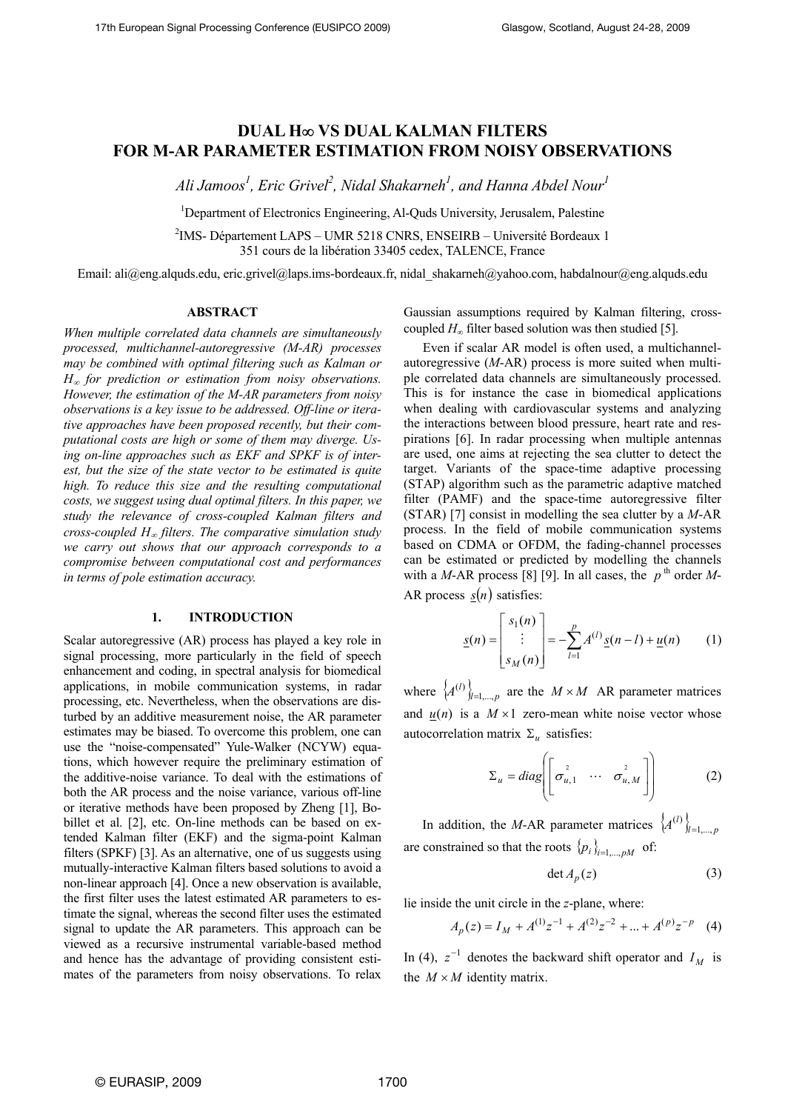# **DUAL H**∞ **VS DUAL KALMAN FILTERS FOR M-AR PARAMETER ESTIMATION FROM NOISY OBSERVATIONS**

Ali Jamoos<sup>1</sup>, Eric Grivel<sup>2</sup>, Nidal Shakarneh<sup>1</sup>, and Hanna Abdel Nour<sup>1</sup>

<sup>1</sup>Department of Electronics Engineering, Al-Quds University, Jerusalem, Palestine

2 IMS- Département LAPS – UMR 5218 CNRS, ENSEIRB – Université Bordeaux 1 351 cours de la libération 33405 cedex, TALENCE, France

Email: ali@eng.alquds.edu, eric.grivel@laps.ims-bordeaux.fr, nidal\_shakarneh@yahoo.com, habdalnour@eng.alquds.edu

# **ABSTRACT**

*When multiple correlated data channels are simultaneously processed, multichannel-autoregressive (M-AR) processes may be combined with optimal filtering such as Kalman or H*∞ *for prediction or estimation from noisy observations. However, the estimation of the M-AR parameters from noisy observations is a key issue to be addressed. Off-line or iterative approaches have been proposed recently, but their computational costs are high or some of them may diverge. Using on-line approaches such as EKF and SPKF is of interest, but the size of the state vector to be estimated is quite high. To reduce this size and the resulting computational costs, we suggest using dual optimal filters. In this paper, we study the relevance of cross-coupled Kalman filters and cross-coupled H*∞ *filters. The comparative simulation study we carry out shows that our approach corresponds to a compromise between computational cost and performances in terms of pole estimation accuracy.*

### **1. INTRODUCTION**

Scalar autoregressive (AR) process has played a key role in signal processing, more particularly in the field of speech enhancement and coding, in spectral analysis for biomedical applications, in mobile communication systems, in radar processing, etc. Nevertheless, when the observations are disturbed by an additive measurement noise, the AR parameter estimates may be biased. To overcome this problem, one can use the "noise-compensated" Yule-Walker (NCYW) equations, which however require the preliminary estimation of the additive-noise variance. To deal with the estimations of both the AR process and the noise variance, various off-line or iterative methods have been proposed by Zheng [1], Bobillet et al. [2], etc. On-line methods can be based on extended Kalman filter (EKF) and the sigma-point Kalman filters (SPKF) [3]. As an alternative, one of us suggests using mutually-interactive Kalman filters based solutions to avoid a non-linear approach [4]. Once a new observation is available, the first filter uses the latest estimated AR parameters to estimate the signal, whereas the second filter uses the estimated signal to update the AR parameters. This approach can be viewed as a recursive instrumental variable-based method and hence has the advantage of providing consistent estimates of the parameters from noisy observations. To relax Gaussian assumptions required by Kalman filtering, crosscoupled  $H_\infty$  filter based solution was then studied [5].

Even if scalar AR model is often used, a multichannelautoregressive (*M*-AR) process is more suited when multiple correlated data channels are simultaneously processed. This is for instance the case in biomedical applications when dealing with cardiovascular systems and analyzing the interactions between blood pressure, heart rate and respirations [6]. In radar processing when multiple antennas are used, one aims at rejecting the sea clutter to detect the target. Variants of the space-time adaptive processing (STAP) algorithm such as the parametric adaptive matched filter (PAMF) and the space-time autoregressive filter (STAR) [7] consist in modelling the sea clutter by a *M*-AR process. In the field of mobile communication systems based on CDMA or OFDM, the fading-channel processes can be estimated or predicted by modelling the channels with a *M*-AR process [8] [9]. In all cases, the  $p^{\text{th}}$  order *M*-AR process  $s(n)$  satisfies:

$$
\underline{s}(n) = \begin{bmatrix} s_1(n) \\ \vdots \\ s_M(n) \end{bmatrix} = -\sum_{l=1}^p A^{(l)} \underline{s}(n-l) + \underline{u}(n) \qquad (1)
$$

where  $\{A^{(l)}\}_{l=1,\dots,p}$  are the  $M \times M$  AR parameter matrices and  $u(n)$  is a  $M \times 1$  zero-mean white noise vector whose autocorrelation matrix  $\Sigma_u$  satisfies:

$$
\Sigma_{u} = diag \left[ \begin{bmatrix} \sigma_{u,1}^{2} & \cdots & \sigma_{u,M}^{2} \end{bmatrix} \right]
$$
 (2)

In addition, the *M*-AR parameter matrices  $\{A^{(l)}\}_{l=1,\dots,p}$ are constrained so that the roots  $\{p_i\}_{i=1}$ ,  $p_M$  of:

$$
\det A_p(z) \tag{3}
$$

lie inside the unit circle in the *z*-plane, where:

$$
A_p(z) = I_M + A^{(1)}z^{-1} + A^{(2)}z^{-2} + \dots + A^{(p)}z^{-p} \quad (4)
$$

In (4),  $z^{-1}$  denotes the backward shift operator and  $I_M$  is the  $M \times M$  identity matrix.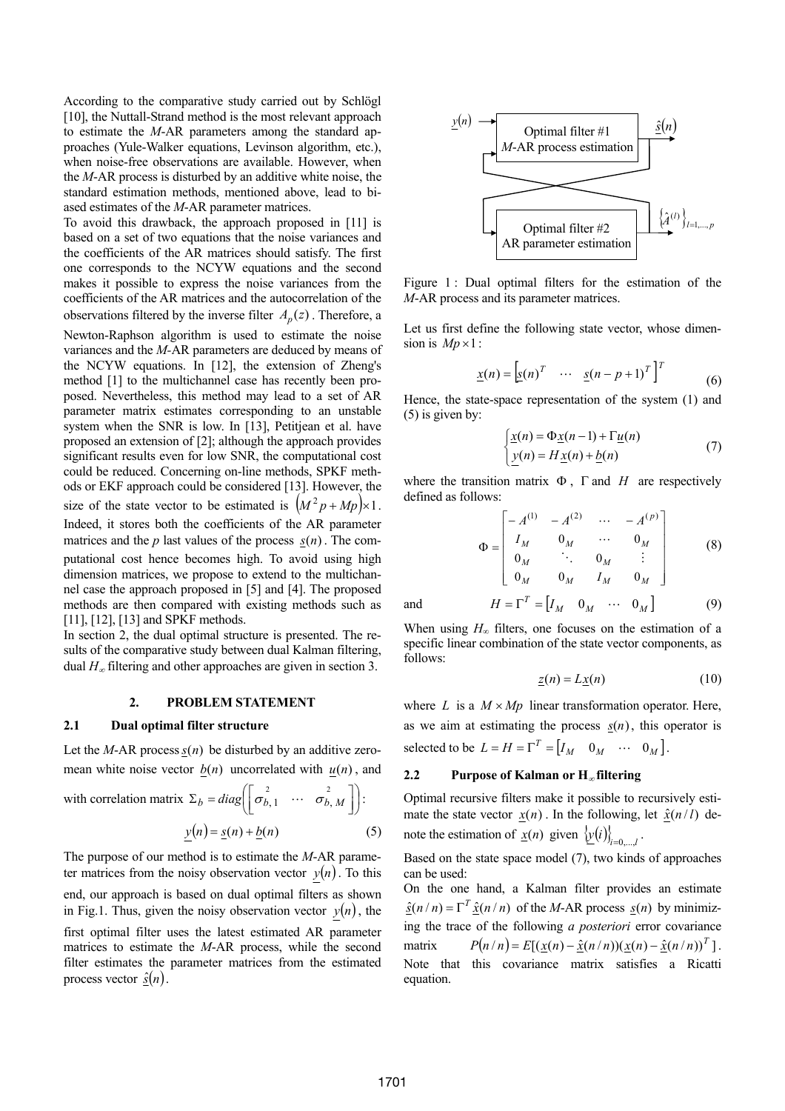According to the comparative study carried out by Schlögl [10], the Nuttall-Strand method is the most relevant approach to estimate the *M*-AR parameters among the standard approaches (Yule-Walker equations, Levinson algorithm, etc.), when noise-free observations are available. However, when the *M*-AR process is disturbed by an additive white noise, the standard estimation methods, mentioned above, lead to biased estimates of the *M*-AR parameter matrices.

To avoid this drawback, the approach proposed in [11] is based on a set of two equations that the noise variances and the coefficients of the AR matrices should satisfy. The first one corresponds to the NCYW equations and the second makes it possible to express the noise variances from the coefficients of the AR matrices and the autocorrelation of the observations filtered by the inverse filter  $A_n(z)$ . Therefore, a Newton-Raphson algorithm is used to estimate the noise variances and the *M-*AR parameters are deduced by means of the NCYW equations. In [12], the extension of Zheng's method [1] to the multichannel case has recently been proposed. Nevertheless, this method may lead to a set of AR parameter matrix estimates corresponding to an unstable system when the SNR is low. In [13], Petitjean et al. have proposed an extension of [2]; although the approach provides significant results even for low SNR, the computational cost could be reduced. Concerning on-line methods, SPKF methods or EKF approach could be considered [13]. However, the size of the state vector to be estimated is  $(M^2 p + Mp) \times 1$ . Indeed, it stores both the coefficients of the AR parameter matrices and the  $p$  last values of the process  $s(n)$ . The computational cost hence becomes high. To avoid using high dimension matrices, we propose to extend to the multichannel case the approach proposed in [5] and [4]. The proposed methods are then compared with existing methods such as [11], [12], [13] and SPKF methods.

In section 2, the dual optimal structure is presented. The results of the comparative study between dual Kalman filtering, dual *H*<sup>∞</sup> filtering and other approaches are given in section 3.

#### **2. PROBLEM STATEMENT**

### **2.1 Dual optimal filter structure**

Let the *M*-AR process  $s(n)$  be disturbed by an additive zeromean white noise vector  $b(n)$  uncorrelated with  $u(n)$ , and

with correlation matrix 
$$
\Sigma_b = diag\left(\begin{bmatrix} \sigma_{b,1}^2 & \cdots & \sigma_{b,M}^2 \end{bmatrix}\right)
$$
:  

$$
y(n) = \underline{s}(n) + \underline{b}(n) \tag{5}
$$

The purpose of our method is to estimate the *M*-AR parameter matrices from the noisy observation vector 
$$
y(n)
$$
. To this end, our approach is based on dual optimal filters as shown in Fig.1. Thus, given the noisy observation vector  $y(n)$ , the

first optimal filter uses the latest estimated AR parameter matrices to estimate the *M*-AR process, while the second filter estimates the parameter matrices from the estimated process vector  $\hat{s}(n)$ .



Figure 1 : Dual optimal filters for the estimation of the *M*-AR process and its parameter matrices.

Let us first define the following state vector, whose dimension is  $Mp \times 1$ :

$$
\underline{x}(n) = \begin{bmatrix} \underline{s}(n)^T & \cdots & \underline{s}(n-p+1)^T \end{bmatrix}^T \tag{6}
$$

Hence, the state-space representation of the system (1) and (5) is given by:

$$
\begin{cases} \underline{x}(n) = \Phi \underline{x}(n-1) + \Gamma \underline{u}(n) \\ \underline{y}(n) = H \underline{x}(n) + \underline{b}(n) \end{cases} \tag{7}
$$

where the transition matrix  $\Phi$ ,  $\Gamma$  and  $H$  are respectively defined as follows:

$$
\Phi = \begin{bmatrix}\n-A^{(1)} & -A^{(2)} & \cdots & -A^{(p)} \\
I_M & 0_M & \cdots & 0_M \\
0_M & \ddots & 0_M & \vdots \\
0_M & 0_M & I_M & 0_M\n\end{bmatrix}
$$
\n(8)

and  $H = \Gamma^T = [I_M \ 0_M \ \cdots \ 0_M]$  (9)

When using  $H_{\infty}$  filters, one focuses on the estimation of a specific linear combination of the state vector components, as follows:

$$
\underline{z}(n) = L\underline{x}(n) \tag{10}
$$

where *L* is a  $M \times Mp$  linear transformation operator. Here, as we aim at estimating the process  $s(n)$ , this operator is selected to be  $L = H = \Gamma^T = [I_M \quad 0_M \quad \cdots \quad 0_M].$ 

# **2.2 Purpose of Kalman or H**<sup>∞</sup> **filtering**

Optimal recursive filters make it possible to recursively estimate the state vector  $x(n)$ . In the following, let  $\hat{x}(n/l)$  denote the estimation of  $\underline{x}(n)$  given  $\{\underline{y}(i)\}_{i=0,\dots,l}$ .

Based on the state space model (7), two kinds of approaches can be used:

On the one hand, a Kalman filter provides an estimate  $\hat{s}(n/n) = \Gamma^T \hat{x}(n/n)$  of the *M*-AR process  $\hat{s}(n)$  by minimizing the trace of the following *a posteriori* error covariance matrix  $P(n / n) = E[(x(n) - \hat{x}(n / n))(x(n) - \hat{x}(n / n))^T].$ Note that this covariance matrix satisfies a Ricatti equation.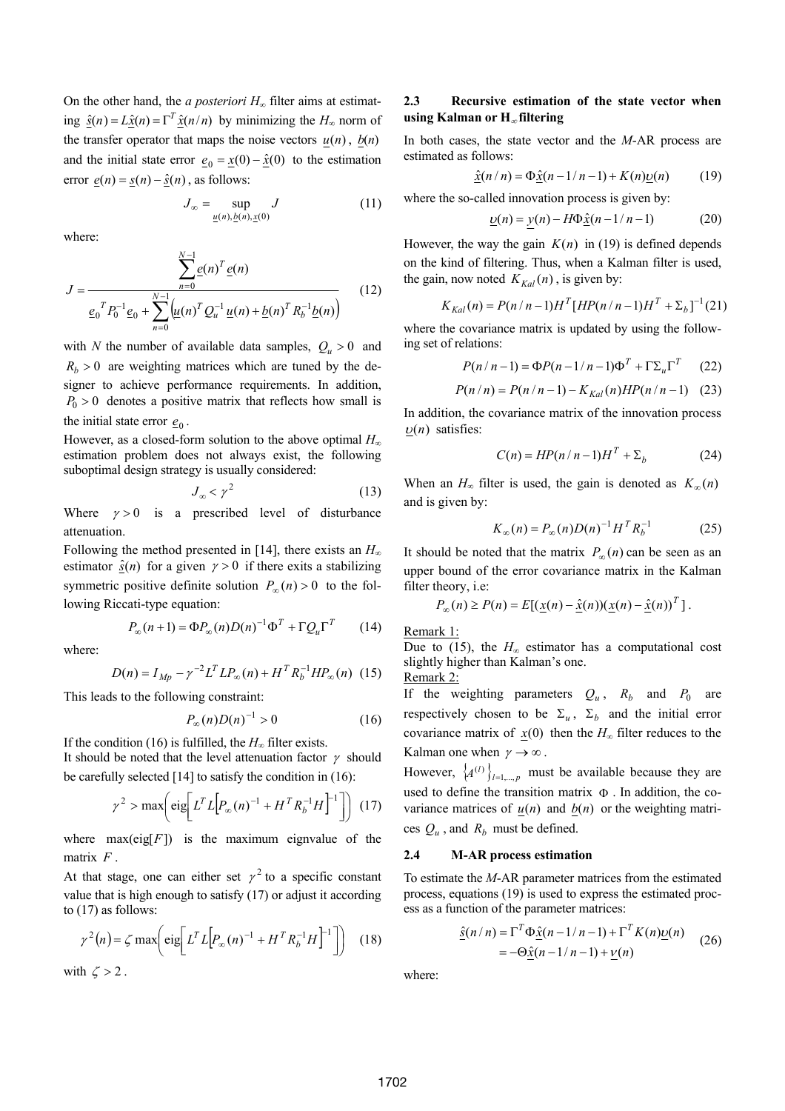On the other hand, the *a posteriori*  $H_{\infty}$  filter aims at estimating  $\hat{s}(n) = L\hat{x}(n) = \Gamma^T \hat{x}(n/n)$  by minimizing the  $H_{\infty}$  norm of the transfer operator that maps the noise vectors  $u(n)$ ,  $b(n)$ and the initial state error  $\mathbf{e}_0 = \mathbf{x}(0) - \hat{\mathbf{x}}(0)$  to the estimation error  $\underline{e}(n) = \underline{s}(n) - \hat{\underline{s}}(n)$ , as follows:

$$
J_{\infty} = \sup_{\underline{u}(n), \underline{b}(n), \underline{x}(0)} J \tag{11}
$$

where:

$$
J = \frac{\sum_{n=0}^{N-1} e(n)^T e(n)}{e_0^T P_0^{-1} e_0 + \sum_{n=0}^{N-1} \left(\underline{u}(n)^T Q_u^{-1} \underline{u}(n) + \underline{b}(n)^T R_b^{-1} \underline{b}(n)\right)}
$$
(12)

with *N* the number of available data samples,  $Q_u > 0$  and  $R_b$  > 0 are weighting matrices which are tuned by the designer to achieve performance requirements. In addition,  $P_0 > 0$  denotes a positive matrix that reflects how small is the initial state error  $\mathbf{e}_0$ .

However, as a closed-form solution to the above optimal *H*<sup>∞</sup> estimation problem does not always exist, the following suboptimal design strategy is usually considered:

$$
J_{\infty} < \gamma^2 \tag{13}
$$

Where  $\gamma > 0$  is a prescribed level of disturbance attenuation.

Following the method presented in [14], there exists an  $H_{\infty}$ estimator  $\hat{s}(n)$  for a given  $\gamma > 0$  if there exits a stabilizing symmetric positive definite solution  $P_{\infty}(n) > 0$  to the following Riccati-type equation:

$$
P_{\infty}(n+1) = \Phi P_{\infty}(n)D(n)^{-1}\Phi^{T} + \Gamma Q_{u}\Gamma^{T}
$$
 (14)

where:

$$
D(n) = I_{Mp} - \gamma^{-2} L^T L P_{\infty}(n) + H^T R_b^{-1} H P_{\infty}(n) \tag{15}
$$

This leads to the following constraint:

$$
P_{\infty}(n)D(n)^{-1} > 0 \tag{16}
$$

If the condition (16) is fulfilled, the  $H_{\infty}$  filter exists. It should be noted that the level attenuation factor  $\gamma$  should be carefully selected [14] to satisfy the condition in (16):

$$
\gamma^2 > \max\biggl(\text{eig}\biggl[L^T L \biggl[P_\infty(n)^{-1} + H^T R_b^{-1} H\biggr]^{-1}\biggr]\biggr) \tag{17}
$$

where  $max(eig[F])$  is the maximum eignvalue of the matrix *F* .

At that stage, one can either set  $\gamma^2$  to a specific constant value that is high enough to satisfy (17) or adjust it according to (17) as follows:

$$
\gamma^2(n) = \zeta \max \biggl( \text{eig} \bigg[ L^T L \bigg[ P_{\infty}(n)^{-1} + H^T R_b^{-1} H \bigg]^{-1} \bigg] \biggr) \tag{18}
$$

with 
$$
\zeta > 2
$$
.

# **2.3 Recursive estimation of the state vector when using Kalman or H**<sup>∞</sup> **filtering**

In both cases, the state vector and the *M*-AR process are estimated as follows:

$$
\underline{\hat{x}}(n/n) = \Phi \underline{\hat{x}}(n-1/n-1) + K(n)\underline{\upsilon}(n) \tag{19}
$$

where the so-called innovation process is given by:

$$
\underline{v}(n) = \underline{v}(n) - H\Phi \hat{\underline{x}}(n-1/n-1)
$$
 (20)

However, the way the gain  $K(n)$  in (19) is defined depends on the kind of filtering. Thus, when a Kalman filter is used, the gain, now noted  $K_{Kal}(n)$ , is given by:

$$
K_{Kal}(n) = P(n/n-1)H^{T}[HP(n/n-1)H^{T} + \Sigma_{b}]^{-1}(21)
$$

where the covariance matrix is updated by using the following set of relations:

$$
P(n/n-1) = \Phi P(n-1/n-1)\Phi^T + \Gamma \Sigma_u \Gamma^T \qquad (22)
$$

$$
P(n/n) = P(n/n - 1) - K_{Kal}(n) H P(n/n - 1)
$$
 (23)

In addition, the covariance matrix of the innovation process  $\nu(n)$  satisfies:

$$
C(n) = HP(n/n-1)HT + \Sigma_b
$$
 (24)

When an  $H_{\infty}$  filter is used, the gain is denoted as  $K_{\infty}(n)$ and is given by:

$$
K_{\infty}(n) = P_{\infty}(n)D(n)^{-1}H^{T}R_{b}^{-1}
$$
 (25)

It should be noted that the matrix  $P_{\infty}(n)$  can be seen as an upper bound of the error covariance matrix in the Kalman filter theory, i.e:

$$
P_{\infty}(n) \ge P(n) = E[(\underline{x}(n) - \hat{\underline{x}}(n))(\underline{x}(n) - \hat{\underline{x}}(n))^T].
$$

Remark 1:

Due to (15), the  $H_{\infty}$  estimator has a computational cost slightly higher than Kalman's one. Remark 2:

If the weighting parameters  $Q_u$ ,  $R_b$  and  $P_0$  are respectively chosen to be  $\Sigma_u$ ,  $\Sigma_b$  and the initial error covariance matrix of  $x(0)$  then the  $H_\infty$  filter reduces to the Kalman one when  $\gamma \to \infty$ .

However,  $\{A^{(l)}\}_{l=1,\dots,p}$  must be available because they are used to define the transition matrix  $\Phi$ . In addition, the covariance matrices of  $\underline{u}(n)$  and  $\underline{b}(n)$  or the weighting matrices  $Q_u$ , and  $R_b$  must be defined.

#### **2.4 M-AR process estimation**

To estimate the *M*-AR parameter matrices from the estimated process, equations (19) is used to express the estimated process as a function of the parameter matrices:

$$
\begin{aligned} \hat{\underline{s}}(n/n) &= \Gamma^T \Phi \hat{\underline{x}}(n-1/n-1) + \Gamma^T K(n) \underline{v}(n) \\ &= -\Theta \hat{\underline{x}}(n-1/n-1) + \underline{v}(n) \end{aligned} \tag{26}
$$

where: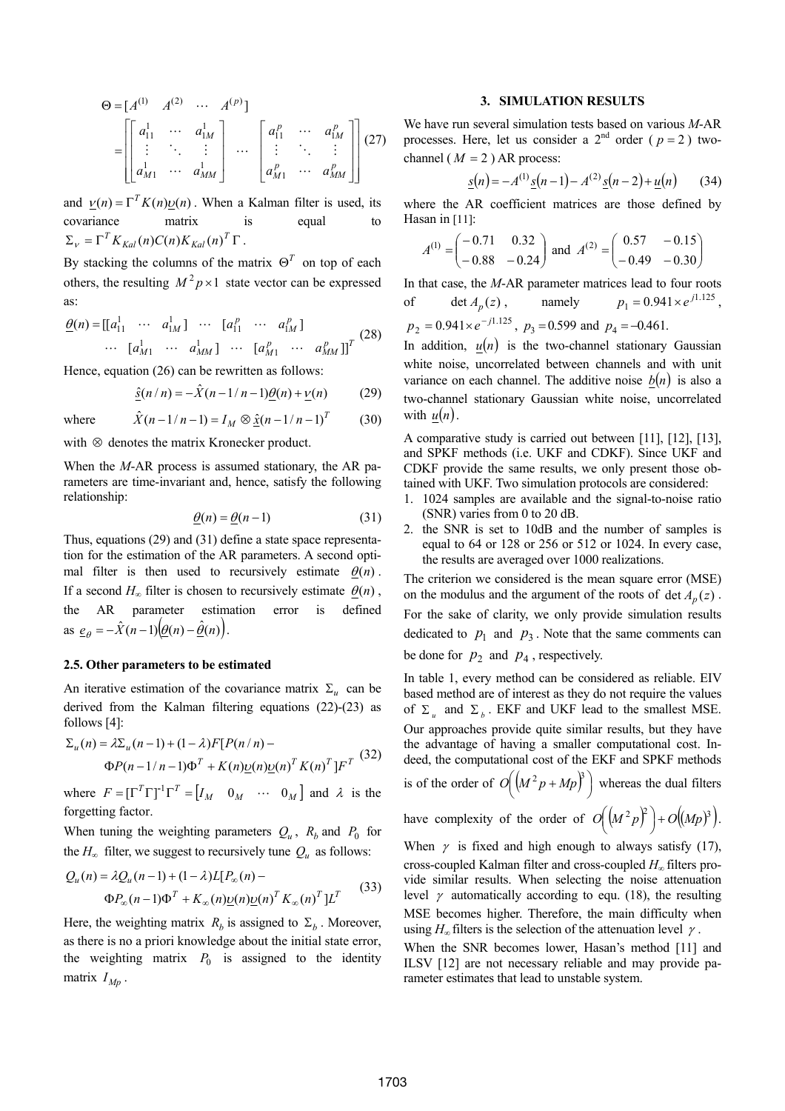$$
\Theta = [A^{(1)} \quad A^{(2)} \quad \cdots \quad A^{(p)}]
$$
\n
$$
= \begin{bmatrix} a_{11}^1 & \cdots & a_{1M}^1 \\ \vdots & \ddots & \vdots \\ a_{M1}^1 & \cdots & a_{MM}^1 \end{bmatrix} \quad \cdots \quad \begin{bmatrix} a_{11}^p & \cdots & a_{1M}^p \\ \vdots & \ddots & \vdots \\ a_{M1}^p & \cdots & a_{MM}^p \end{bmatrix} (27)
$$

and  $v(n) = \Gamma^T K(n) v(n)$ . When a Kalman filter is used, its covariance matrix is equal to  $\Sigma_V = \Gamma^T K_{Kal}(n) C(n) K_{Kal}(n)^T \Gamma$ .

By stacking the columns of the matrix  $\Theta^T$  on top of each others, the resulting  $M^2 p \times 1$  state vector can be expressed as:

$$
\underline{\theta}(n) = [[a]_1 \cdots a]_M] \cdots [a]_1^p \cdots a]_M^p
$$
\n
$$
\cdots [a]_M \cdots a]_M^p \cdots [a]_M^p \cdots [a]_M^p \cdots a]_M^p
$$
\n(28)

Hence, equation (26) can be rewritten as follows:

$$
\underline{\hat{s}}(n/n) = -\hat{X}(n-1/n-1)\underline{\theta}(n) + \underline{\nu}(n) \tag{29}
$$

where  $\hat{X}(n-1/n-1) = I_M \otimes \hat{x}(n-1/n-1)^T$  (30)

with ⊗ denotes the matrix Kronecker product.

When the *M*-AR process is assumed stationary, the AR parameters are time-invariant and, hence, satisfy the following relationship:

$$
\underline{\theta}(n) = \underline{\theta}(n-1) \tag{31}
$$

Thus, equations (29) and (31) define a state space representation for the estimation of the AR parameters. A second optimal filter is then used to recursively estimate  $\theta(n)$ . If a second  $H_{\infty}$  filter is chosen to recursively estimate  $\theta(n)$ , the AR parameter estimation error is defined as  $e_{\theta} = -\hat{X}(n-1) (\theta(n) - \hat{\theta}(n)).$ 

### **2.5. Other parameters to be estimated**

An iterative estimation of the covariance matrix  $\Sigma_u$  can be derived from the Kalman filtering equations (22)-(23) as follows [4]:

$$
\Sigma_u(n) = \lambda \Sigma_u(n-1) + (1 - \lambda) F [P(n/n) -
$$
  
 
$$
\Phi P(n-1/n-1) \Phi^T + K(n) \underline{\upsilon}(n) \underline{\upsilon}(n)^T K(n)^T ] F^T
$$
 (32)

where  $F = [\Gamma^T \Gamma]^T \Gamma^T = [I_M \quad 0_M \quad \cdots \quad 0_M]$  and  $\lambda$  is the forgetting factor.

When tuning the weighting parameters  $Q_u$ ,  $R_b$  and  $P_0$  for the  $H_{\infty}$  filter, we suggest to recursively tune  $Q_u$  as follows:

$$
Q_u(n) = \lambda Q_u(n-1) + (1-\lambda)L[P_\infty(n) -
$$
  
\n
$$
\Phi P_\infty(n-1)\Phi^T + K_\infty(n)\underline{\upsilon}(n)\underline{\upsilon}(n)^T K_\infty(n)^T]L^T
$$
\n(33)

Here, the weighting matrix  $R_b$  is assigned to  $\Sigma_b$ . Moreover, as there is no a priori knowledge about the initial state error, the weighting matrix  $P_0$  is assigned to the identity matrix  $I_{Mp}$ .

#### **3. SIMULATION RESULTS**

We have run several simulation tests based on various *M*-AR processes. Here, let us consider a  $2<sup>nd</sup>$  order ( $p = 2$ ) twochannel ( $M = 2$ ) AR process:

$$
\underline{s}(n) = -A^{(1)}\underline{s}(n-1) - A^{(2)}\underline{s}(n-2) + \underline{u}(n) \tag{34}
$$

where the AR coefficient matrices are those defined by Hasan in [11]:

$$
A^{(1)} = \begin{pmatrix} -0.71 & 0.32 \\ -0.88 & -0.24 \end{pmatrix} \text{ and } A^{(2)} = \begin{pmatrix} 0.57 & -0.15 \\ -0.49 & -0.30 \end{pmatrix}
$$

In that case, the *M*-AR parameter matrices lead to four roots of det  $A_p(z)$ , namely  $p_1 = 0.941 \times e^{j1.125}$ ,  $p_2 = 0.941 \times e^{-j1.125}$ ,  $p_3 = 0.599$  and  $p_4 = -0.461$ .

In addition,  $u(n)$  is the two-channel stationary Gaussian white noise, uncorrelated between channels and with unit variance on each channel. The additive noise  $b(n)$  is also a two-channel stationary Gaussian white noise, uncorrelated with  $u(n)$ .

A comparative study is carried out between [11], [12], [13], and SPKF methods (i.e. UKF and CDKF). Since UKF and CDKF provide the same results, we only present those obtained with UKF. Two simulation protocols are considered:

- 1. 1024 samples are available and the signal-to-noise ratio (SNR) varies from 0 to 20 dB.
- 2. the SNR is set to 10dB and the number of samples is equal to 64 or 128 or 256 or 512 or 1024. In every case, the results are averaged over 1000 realizations.

The criterion we considered is the mean square error (MSE) on the modulus and the argument of the roots of det  $A_n(z)$ . For the sake of clarity, we only provide simulation results dedicated to  $p_1$  and  $p_3$ . Note that the same comments can be done for  $p_2$  and  $p_4$ , respectively.

In table 1, every method can be considered as reliable. EIV based method are of interest as they do not require the values of  $\Sigma_u$  and  $\Sigma_b$ . EKF and UKF lead to the smallest MSE. Our approaches provide quite similar results, but they have the advantage of having a smaller computational cost. Indeed, the computational cost of the EKF and SPKF methods is of the order of  $O\left( (M^2 p + Mp)^3 \right)$  whereas the dual filters

have complexity of the order of  $O((M^2 p)^2) + O((Mp)^3)$ .

$$
\biggr) + O\bigl((Mp)^3\bigr)
$$

When  $\gamma$  is fixed and high enough to always satisfy (17), cross-coupled Kalman filter and cross-coupled *H*<sup>∞</sup> filters provide similar results. When selecting the noise attenuation level  $\gamma$  automatically according to equ. (18), the resulting MSE becomes higher. Therefore, the main difficulty when using  $H_{\infty}$  filters is the selection of the attenuation level  $\gamma$ .

When the SNR becomes lower, Hasan's method [11] and ILSV [12] are not necessary reliable and may provide parameter estimates that lead to unstable system.